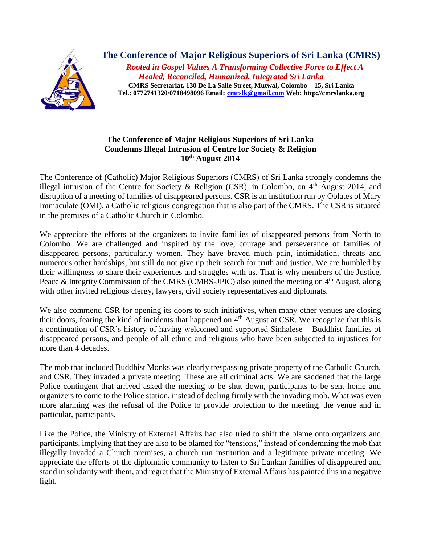

**The Conference of Major Religious Superiors of Sri Lanka (CMRS)** *Rooted in Gospel Values A Transforming Collective Force to Effect A Healed, Reconciled, Humanized, Integrated Sri Lanka* **CMRS Secretariat, 130 De La Salle Street, Mutwal, Colombo – 15, Sri Lanka Tel.: 0772741320/0718498096 Email: [cmrslk@gmail.com](mailto:cmrslk@gmail.com) Web: http://cmrslanka.org**

## **The Conference of Major Religious Superiors of Sri Lanka Condemns Illegal Intrusion of Centre for Society & Religion 10th August 2014**

The Conference of (Catholic) Major Religious Superiors (CMRS) of Sri Lanka strongly condemns the illegal intrusion of the Centre for Society & Religion (CSR), in Colombo, on  $4<sup>th</sup>$  August 2014, and disruption of a meeting of families of disappeared persons. CSR is an institution run by Oblates of Mary Immaculate (OMI), a Catholic religious congregation that is also part of the CMRS. The CSR is situated in the premises of a Catholic Church in Colombo.

We appreciate the efforts of the organizers to invite families of disappeared persons from North to Colombo. We are challenged and inspired by the love, courage and perseverance of families of disappeared persons, particularly women. They have braved much pain, intimidation, threats and numerous other hardships, but still do not give up their search for truth and justice. We are humbled by their willingness to share their experiences and struggles with us. That is why members of the Justice, Peace & Integrity Commission of the CMRS (CMRS-JPIC) also joined the meeting on  $4<sup>th</sup>$  August, along with other invited religious clergy, lawyers, civil society representatives and diplomats.

We also commend CSR for opening its doors to such initiatives, when many other venues are closing their doors, fearing the kind of incidents that happened on 4<sup>th</sup> August at CSR. We recognize that this is a continuation of CSR's history of having welcomed and supported Sinhalese – Buddhist families of disappeared persons, and people of all ethnic and religious who have been subjected to injustices for more than 4 decades.

The mob that included Buddhist Monks was clearly trespassing private property of the Catholic Church, and CSR. They invaded a private meeting. These are all criminal acts. We are saddened that the large Police contingent that arrived asked the meeting to be shut down, participants to be sent home and organizers to come to the Police station, instead of dealing firmly with the invading mob. What was even more alarming was the refusal of the Police to provide protection to the meeting, the venue and in particular, participants.

Like the Police, the Ministry of External Affairs had also tried to shift the blame onto organizers and participants, implying that they are also to be blamed for "tensions," instead of condemning the mob that illegally invaded a Church premises, a church run institution and a legitimate private meeting. We appreciate the efforts of the diplomatic community to listen to Sri Lankan families of disappeared and stand in solidarity with them, and regret that the Ministry of External Affairs has painted this in a negative light.